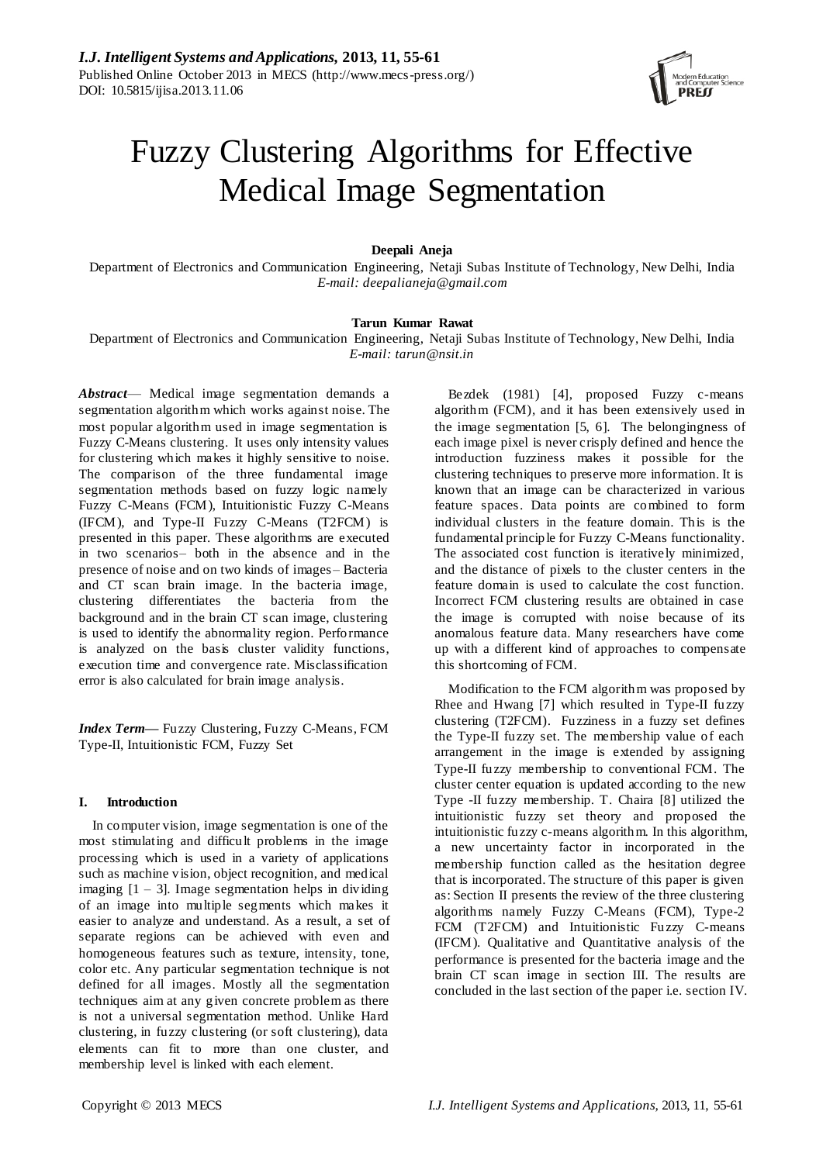

# Fuzzy Clustering Algorithms for Effective Medical Image Segmentation

# **Deepali Aneja**

Department of Electronics and Communication Engineering, Netaji Subas Institute of Technology, New Delhi, India *E-mail: deepalianeja@gmail.com*

## **Tarun Kumar Rawat**

Department of Electronics and Communication Engineering, Netaji Subas Institute of Technology, New Delhi, India *E-mail: tarun@nsit.in*

*Abstract*— Medical image segmentation demands a segmentation algorithm which works against noise. The most popular algorithm used in image segmentation is Fuzzy C-Means clustering. It uses only intensity values for clustering which makes it highly sensitive to noise. The comparison of the three fundamental image segmentation methods based on fuzzy logic namely Fuzzy C-Means (FCM), Intuitionistic Fuzzy C-Means (IFCM), and Type-II Fuzzy C-Means (T2FCM) is presented in this paper. These algorithms are executed in two scenarios– both in the absence and in the presence of noise and on two kinds of images– Bacteria and CT scan brain image. In the bacteria image, clustering differentiates the bacteria from the background and in the brain CT scan image, clustering is used to identify the abnormality region. Performance is analyzed on the basis cluster validity functions, execution time and convergence rate. Misclassification error is also calculated for brain image analysis.

*Index Term—* Fuzzy Clustering, Fuzzy C-Means, FCM Type-II, Intuitionistic FCM, Fuzzy Set

## **I. Introduction**

In computer vision, image segmentation is one of the most stimulating and difficult problems in the image processing which is used in a variety of applications such as machine vision, object recognition, and medical imaging  $[1 - 3]$ . Image segmentation helps in dividing of an image into multiple segments which makes it easier to analyze and understand. As a result, a set of separate regions can be achieved with even and homogeneous features such as texture, intensity, tone, color etc. Any particular segmentation technique is not defined for all images. Mostly all the segmentation techniques aim at any given concrete problem as there is not a universal segmentation method. Unlike Hard clustering, in fuzzy clustering (or soft clustering), data elements can fit to more than one cluster, and membership level is linked with each element.

Bezdek (1981) [4], proposed Fuzzy c-means algorithm (FCM), and it has been extensively used in the image segmentation [5, 6]. The belongingness of each image pixel is never crisply defined and hence the introduction fuzziness makes it possible for the clustering techniques to preserve more information. It is known that an image can be characterized in various feature spaces. Data points are combined to form individual clusters in the feature domain. This is the fundamental principle for Fuzzy C-Means functionality. The associated cost function is iteratively minimized, and the distance of pixels to the cluster centers in the feature domain is used to calculate the cost function. Incorrect FCM clustering results are obtained in case the image is corrupted with noise because of its anomalous feature data. Many researchers have come up with a different kind of approaches to compensate this shortcoming of FCM.

Modification to the FCM algorithm was proposed by Rhee and Hwang [7] which resulted in Type-II fuzzy clustering (T2FCM). Fuzziness in a fuzzy set defines the Type-II fuzzy set. The membership value of each arrangement in the image is extended by assigning Type-II fuzzy membership to conventional FCM. The cluster center equation is updated according to the new Type -II fuzzy membership. T. Chaira [8] utilized the intuitionistic fuzzy set theory and proposed the intuitionistic fuzzy c-means algorithm. In this algorithm, a new uncertainty factor in incorporated in the membership function called as the hesitation degree that is incorporated. The structure of this paper is given as: Section II presents the review of the three clustering algorithms namely Fuzzy C-Means (FCM), Type-2 FCM (T2FCM) and Intuitionistic Fuzzy C-means (IFCM). Qualitative and Quantitative analysis of the performance is presented for the bacteria image and the brain CT scan image in section III. The results are concluded in the last section of the paper i.e. section IV.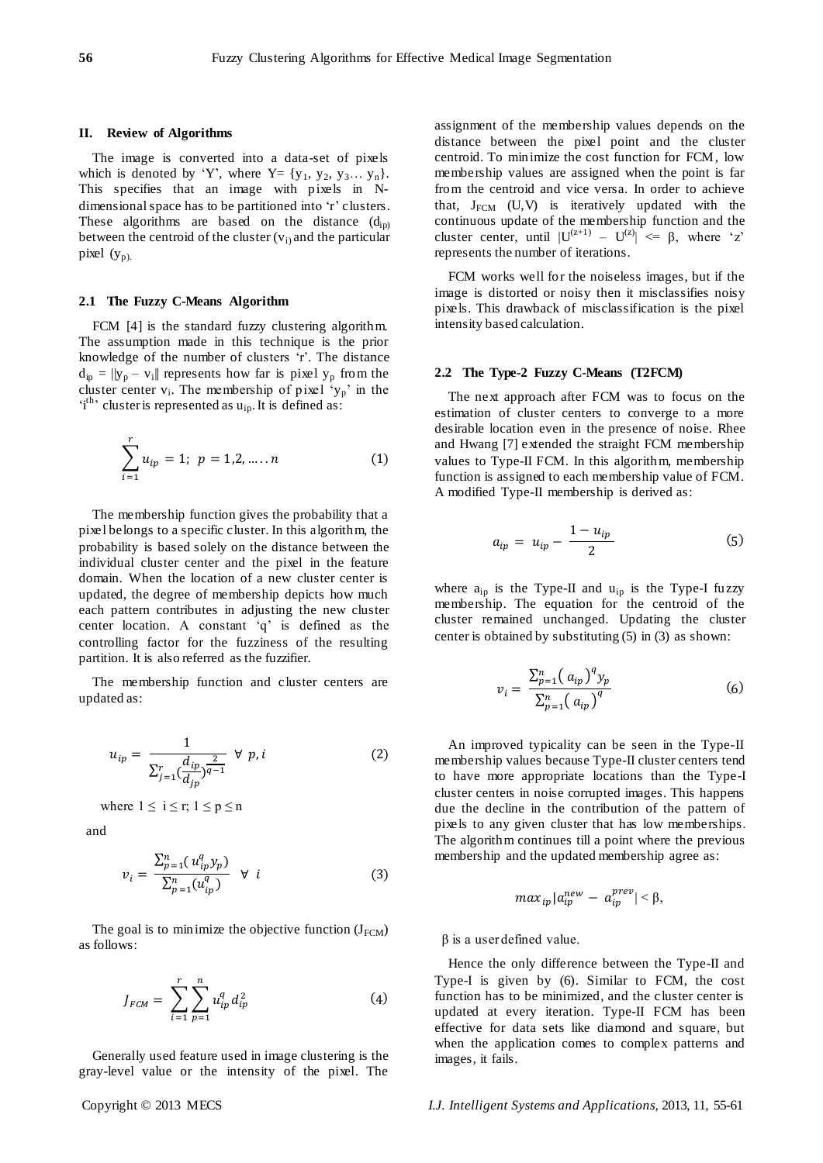## **II. Review of Algorithms**

The image is converted into a data-set of pixels which is denoted by 'Y', where  $Y = \{y_1, y_2, y_3...\ y_n\}.$ This specifies that an image with pixels in Ndimensional space has to be partitioned into 'r' clusters. These algorithms are based on the distance  $(d_{\text{in}})$ between the centroid of the cluster  $(v_i)$  and the particular pixel  $(y_p)$ .

#### **2.1 The Fuzzy C-Means Algorithm**

FCM [4] is the standard fuzzy clustering algorithm. The assumption made in this technique is the prior knowledge of the number of clusters 'r'. The distance  $d_{ip} = ||y_p - v_i||$  represents how far is pixel  $y_p$  from the cluster center  $v_i$ . The membership of pixel ' $y_p$ ' in the  $i<sup>th</sup>$  cluster is represented as  $u<sub>ip</sub>$ . It is defined as:

$$
\sum_{i=1}^{r} u_{ip} = 1; \ p = 1, 2, \dots, n
$$
 (1)

The membership function gives the probability that a pixel belongs to a specific cluster. In this algorithm, the probability is based solely on the distance between the individual cluster center and the pixel in the feature domain. When the location of a new cluster center is updated, the degree of membership depicts how much each pattern contributes in adjusting the new cluster center location. A constant 'q' is defined as the controlling factor for the fuzziness of the resulting partition. It is also referred as the fuzzifier.

The membership function and cluster centers are updated as:

$$
u_{ip} = \frac{1}{\sum_{j=1}^{r} \left(\frac{d_{ip}}{d_{jp}}\right)^{\frac{2}{q-1}}} \ \forall \ p, i
$$
 (2)

where  $1 \le i \le r$ ;  $1 \le p \le n$ 

and

$$
v_i = \frac{\sum_{p=1}^{n} (u_{ip}^q y_p)}{\sum_{p=1}^{n} (u_{ip}^q)} \quad \forall \quad i
$$
 (3)

The goal is to minimize the objective function  $(J_{\text{FCM}})$ as follows:

$$
J_{FCM} = \sum_{i=1}^{r} \sum_{p=1}^{n} u_{ip}^{q} d_{ip}^{2}
$$
 (4)

Generally used feature used in image clustering is the gray-level value or the intensity of the pixel. The assignment of the membership values depends on the distance between the pixel point and the cluster centroid. To minimize the cost function for FCM, low membership values are assigned when the point is far from the centroid and vice versa. In order to achieve that,  $J_{FCM}$  (U,V) is iteratively updated with the continuous update of the membership function and the cluster center, until  $|U^{(z+1)} - U^{(z)}| \leq \beta$ , where 'z' represents the number of iterations.

FCM works well for the noiseless images, but if the image is distorted or noisy then it misclassifies noisy pixels. This drawback of misclassification is the pixel intensity based calculation.

#### **2.2 The Type-2 Fuzzy C-Means (T2FCM)**

The next approach after FCM was to focus on the estimation of cluster centers to converge to a more desirable location even in the presence of noise. Rhee and Hwang [7] extended the straight FCM membership values to Type-II FCM. In this algorithm, membership function is assigned to each membership value of FCM. A modified Type-II membership is derived as:

$$
a_{ip} = u_{ip} - \frac{1 - u_{ip}}{2} \tag{5}
$$

where  $a_{ip}$  is the Type-II and  $u_{ip}$  is the Type-I fuzzy membership. The equation for the centroid of the cluster remained unchanged. Updating the cluster center is obtained by substituting (5) in (3) as shown:

$$
v_i = \frac{\sum_{p=1}^{n} (a_{ip})^q y_p}{\sum_{p=1}^{n} (a_{ip})^q}
$$
 (6)

An improved typicality can be seen in the Type-II membership values because Type-II cluster centers tend to have more appropriate locations than the Type-I cluster centers in noise corrupted images. This happens due the decline in the contribution of the pattern of pixels to any given cluster that has low memberships. The algorithm continues till a point where the previous membership and the updated membership agree as:

$$
max_{ip}|a_{ip}^{new} - a_{ip}^{prev}| < \beta,
$$

 $β$  is a user defined value.

Hence the only difference between the Type-II and Type-I is given by (6). Similar to FCM, the cost function has to be minimized, and the cluster center is updated at every iteration. Type-II FCM has been effective for data sets like diamond and square, but when the application comes to complex patterns and images, it fails.

Copyright © 2013 MECS *I.J. Intelligent Systems and Applications,* 2013, 11, 55-61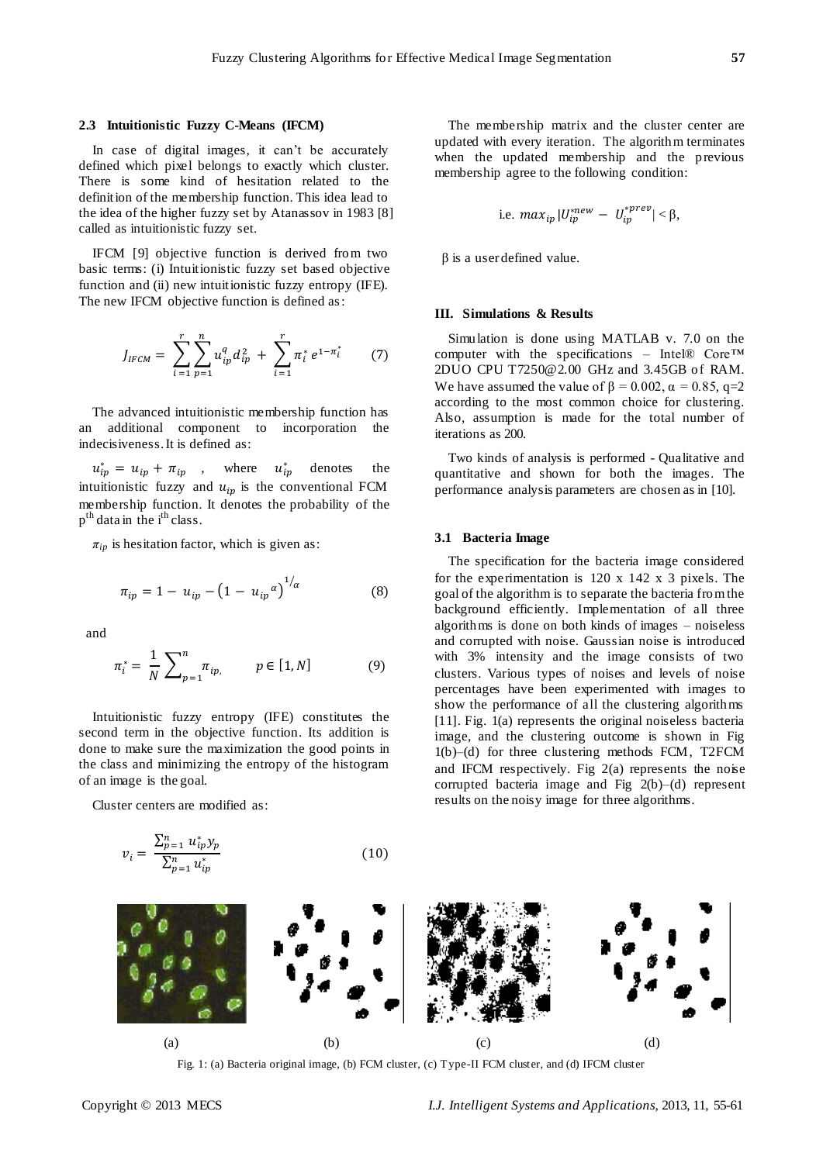## **2.3 Intuitionistic Fuzzy C-Means (IFCM)**

In case of digital images, it can't be accurately defined which pixel belongs to exactly which cluster. There is some kind of hesitation related to the definition of the membership function. This idea lead to the idea of the higher fuzzy set by Atanassov in 1983 [8] called as intuitionistic fuzzy set.

IFCM [9] objective function is derived from two basic terms: (i) Intuitionistic fuzzy set based objective function and (ii) new intuitionistic fuzzy entropy (IFE). The new IFCM objective function is defined as:

$$
J_{IFCM} = \sum_{i=1}^{r} \sum_{p=1}^{n} u_{ip}^{q} d_{ip}^{2} + \sum_{i=1}^{r} \pi_{i}^{*} e^{1-\pi_{i}^{*}}
$$
 (7)

The advanced intuitionistic membership function has an additional component to incorporation the indecisiveness. It is defined as:

 $u_{ip}^* = u_{ip} + \pi_{ip}$ , where  $u_{ip}^*$  denotes the intuitionistic fuzzy and  $u_{in}$  is the conventional FCM membership function. It denotes the probability of the p<sup>th</sup> data in the i<sup>th</sup> class.

 $\pi_{ip}$  is hesitation factor, which is given as:

$$
\pi_{ip} = 1 - u_{ip} - (1 - u_{ip}{}^{\alpha})^{1/\alpha} \tag{8}
$$

and

$$
\pi_i^* = \frac{1}{N} \sum_{p=1}^n \pi_{ip}, \qquad p \in [1, N] \tag{9}
$$

Intuitionistic fuzzy entropy (IFE) constitutes the second term in the objective function. Its addition is done to make sure the maximization the good points in the class and minimizing the entropy of the histogram of an image is the goal.

Cluster centers are modified as:

$$
v_i = \frac{\sum_{p=1}^{n} u_{ip}^* y_p}{\sum_{p=1}^{n} u_{ip}^*}
$$
 (10)

The membership matrix and the cluster center are updated with every iteration. The algorithm terminates when the updated membership and the previous membership agree to the following condition:

i.e. 
$$
max_{ip} |U_{ip}^{*new} - U_{ip}^{*prev}| < \beta
$$
,

 $β$  is a user defined value.

### **III. Simulations & Results**

Simulation is done using MATLAB v. 7.0 on the computer with the specifications – Intel® Core™ 2DUO CPU T7250@2.00 GHz and 3.45GB of RAM. We have assumed the value of  $\beta = 0.002$ ,  $\alpha = 0.85$ , q=2 according to the most common choice for clustering. Also, assumption is made for the total number of iterations as 200.

Two kinds of analysis is performed - Qualitative and quantitative and shown for both the images. The performance analysis parameters are chosen as in [10].

## **3.1 Bacteria Image**

The specification for the bacteria image considered for the experimentation is 120 x 142 x 3 pixels. The goal of the algorithm is to separate the bacteria from the background efficiently. Implementation of all three algorithms is done on both kinds of images – noiseless and corrupted with noise. Gaussian noise is introduced with 3% intensity and the image consists of two clusters. Various types of noises and levels of noise percentages have been experimented with images to show the performance of all the clustering algorithms [11]. Fig. 1(a) represents the original noiseless bacteria image, and the clustering outcome is shown in Fig 1(b)–(d) for three clustering methods FCM, T2FCM and IFCM respectively. Fig  $2(a)$  represents the noise corrupted bacteria image and Fig 2(b)–(d) represent results on the noisy image for three algorithms.



Fig. 1: (a) Bacteria original image, (b) FCM cluster, (c) Type-II FCM cluster, and (d) IFCM cluster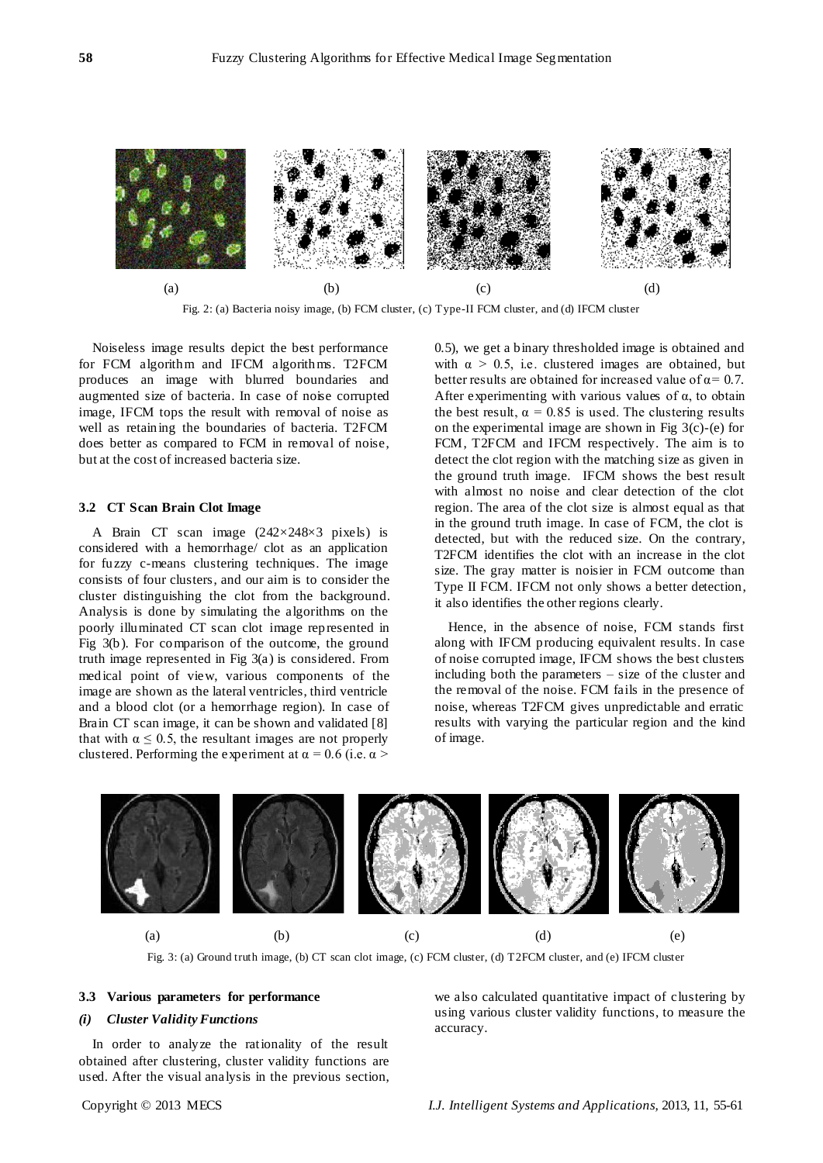

Fig. 2: (a) Bacteria noisy image, (b) FCM cluster, (c) Type-II FCM cluster, and (d) IFCM cluster

Noiseless image results depict the best performance for FCM algorithm and IFCM algorithms. T2FCM produces an image with blurred boundaries and augmented size of bacteria. In case of noise corrupted image, IFCM tops the result with removal of noise as well as retaining the boundaries of bacteria. T2FCM does better as compared to FCM in removal of noise, but at the cost of increased bacteria size.

#### **3.2 CT Scan Brain Clot Image**

A Brain CT scan image  $(242 \times 248 \times 3$  pixels) is considered with a hemorrhage/ clot as an application for fuzzy c-means clustering techniques. The image consists of four clusters, and our aim is to consider the cluster distinguishing the clot from the background. Analysis is done by simulating the algorithms on the poorly illuminated CT scan clot image represented in Fig 3(b). For comparison of the outcome, the ground truth image represented in Fig 3(a) is considered. From medical point of view, various components of the image are shown as the lateral ventricles, third ventricle and a blood clot (or a hemorrhage region). In case of Brain CT scan image, it can be shown and validated [8] that with  $\alpha \leq 0.5$ , the resultant images are not properly clustered. Performing the experiment at  $\alpha = 0.6$  (i.e.  $\alpha$  >

0.5), we get a binary thresholded image is obtained and with  $\alpha > 0.5$ , i.e. clustered images are obtained, but better results are obtained for increased value of  $\alpha$ = 0.7. After experimenting with various values of  $\alpha$ , to obtain the best result,  $\alpha = 0.85$  is used. The clustering results on the experimental image are shown in Fig  $3(c)$ -(e) for FCM, T2FCM and IFCM respectively. The aim is to detect the clot region with the matching size as given in the ground truth image. IFCM shows the best result with almost no noise and clear detection of the clot region. The area of the clot size is almost equal as that in the ground truth image. In case of FCM, the clot is detected, but with the reduced size. On the contrary, T2FCM identifies the clot with an increase in the clot size. The gray matter is noisier in FCM outcome than Type II FCM. IFCM not only shows a better detection, it also identifies the other regions clearly.

Hence, in the absence of noise, FCM stands first along with IFCM producing equivalent results. In case of noise corrupted image, IFCM shows the best clusters including both the parameters – size of the cluster and the removal of the noise. FCM fails in the presence of noise, whereas T2FCM gives unpredictable and erratic results with varying the particular region and the kind of image.



Fig. 3: (a) Ground truth image, (b) CT scan clot image, (c) FCM cluster, (d) T2FCM cluster, and (e) IFCM cluster

#### **3.3 Various parameters for performance**

#### *(i) Cluster Validity Functions*

In order to analyze the rationality of the result obtained after clustering, cluster validity functions are used. After the visual analysis in the previous section, we also calculated quantitative impact of clustering by using various cluster validity functions, to measure the accuracy.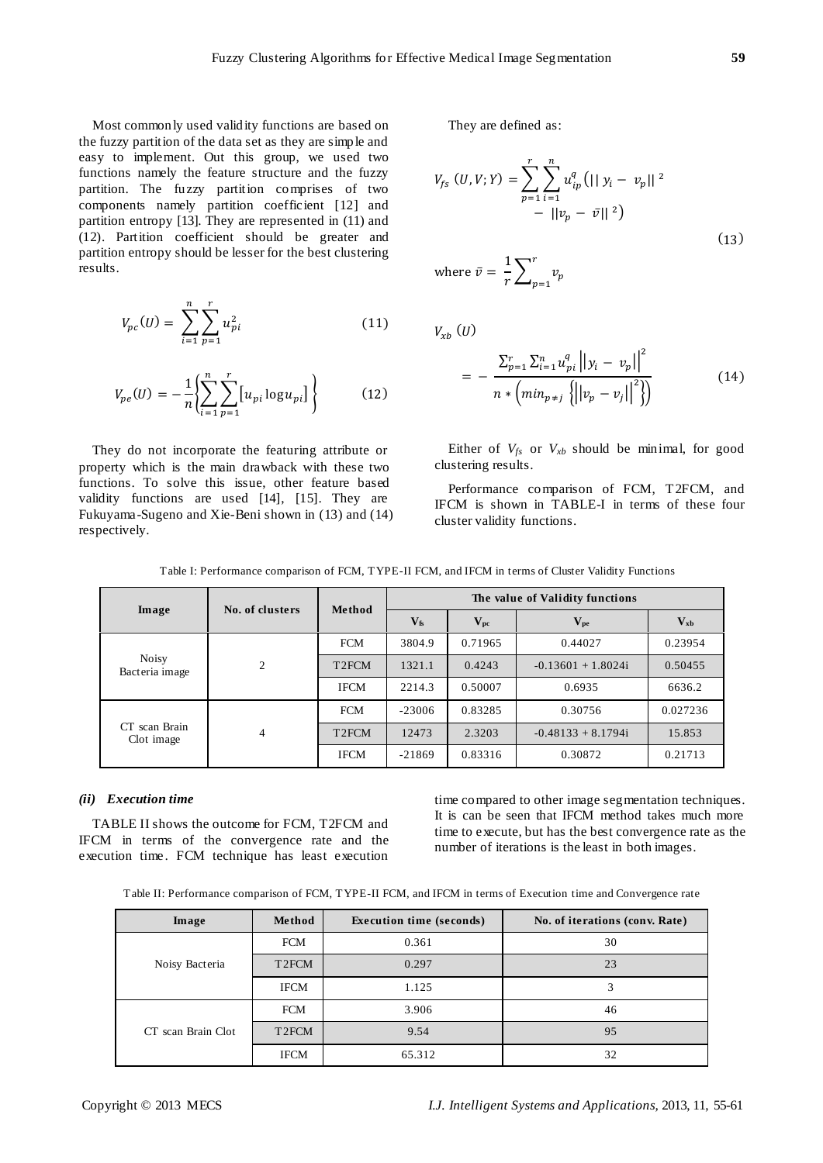Most commonly used validity functions are based on the fuzzy partition of the data set as they are simple and easy to implement. Out this group, we used two functions namely the feature structure and the fuzzy partition. The fuzzy partition comprises of two components namely partition coefficient [12] and partition entropy [13]. They are represented in (11) and (12). Partition coefficient should be greater and partition entropy should be lesser for the best clustering results.

$$
V_{pc}(U) = \sum_{i=1}^{n} \sum_{p=1}^{r} u_{pi}^{2}
$$
 (11)

$$
V_{pe}(U) = -\frac{1}{n} \left\{ \sum_{i=1}^{n} \sum_{p=1}^{r} [u_{pi} \log u_{pi}] \right\}
$$
 (12)

They do not incorporate the featuring attribute or property which is the main drawback with these two functions. To solve this issue, other feature based validity functions are used [14], [15]. They are Fukuyama-Sugeno and Xie-Beni shown in (13) and (14) respectively.

They are defined as:

$$
V_{fs} (U, V; Y) = \sum_{p=1}^{r} \sum_{i=1}^{n} u_{ip}^{q} (||y_{i} - v_{p}||^{2})
$$
  
-  $||v_{p} - \bar{v}||^{2})$   
where  $\bar{v} = \frac{1}{v} \sum_{p=1}^{r} v_{p}$  (13)

 $\frac{1}{r}\sum_{p=1}^{\infty}v$ 

 $V_{xb}$   $(U)$ 

$$
= -\frac{\sum_{p=1}^{r} \sum_{i=1}^{n} u_{pi}^{q} ||y_{i} - v_{p}||^{2}}{n * \left( \min_{p \neq j} \left\{ ||v_{p} - v_{j}||^{2} \right\} \right)}
$$
(14)

Either of  $V_{fs}$  or  $V_{xb}$  should be minimal, for good clustering results.

Performance comparison of FCM, T2FCM, and IFCM is shown in TABLE-I in terms of these four cluster validity functions.

Table I: Performance comparison of FCM, TYPE-II FCM, and IFCM in terms of Cluster Validity Functions

|                                | No. of clusters | Method             | The value of Validity functions |                   |                      |          |
|--------------------------------|-----------------|--------------------|---------------------------------|-------------------|----------------------|----------|
| Image                          |                 |                    | $V_{fs}$                        | $\mathbf{V_{pc}}$ | $\mathbf{V_{pe}}$    | $V_{xb}$ |
| <b>Noisy</b><br>Bacteria image | 2               | <b>FCM</b>         | 3804.9                          | 0.71965           | 0.44027              | 0.23954  |
|                                |                 | T <sub>2</sub> FCM | 1321.1                          | 0.4243            | $-0.13601 + 1.8024i$ | 0.50455  |
|                                |                 | <b>IFCM</b>        | 2214.3                          | 0.50007           | 0.6935               | 6636.2   |
| CT scan Brain<br>Clot image    | $\overline{4}$  | <b>FCM</b>         | $-23006$                        | 0.83285           | 0.30756              | 0.027236 |
|                                |                 | T <sub>2</sub> FCM | 12473                           | 2.3203            | $-0.48133 + 8.1794i$ | 15.853   |
|                                |                 | <b>IFCM</b>        | $-21869$                        | 0.83316           | 0.30872              | 0.21713  |

## *(ii) Execution time*

TABLE II shows the outcome for FCM, T2FCM and IFCM in terms of the convergence rate and the execution time. FCM technique has least execution

time compared to other image segmentation techniques. It is can be seen that IFCM method takes much more time to execute, but has the best convergence rate as the number of iterations is the least in both images.

|  | Table II: Performance comparison of FCM, TYPE-II FCM, and IFCM in terms of Execution time and Convergence rate |
|--|----------------------------------------------------------------------------------------------------------------|
|--|----------------------------------------------------------------------------------------------------------------|

| Image              | Method             | <b>Execution time (seconds)</b> | No. of iterations (conv. Rate) |
|--------------------|--------------------|---------------------------------|--------------------------------|
| Noisy Bacteria     | <b>FCM</b>         | 0.361                           | 30                             |
|                    | T <sub>2</sub> FCM | 0.297                           | 23                             |
|                    | <b>IFCM</b>        | 1.125                           | 3                              |
| CT scan Brain Clot | <b>FCM</b>         | 3.906                           | 46                             |
|                    | T <sub>2</sub> FCM | 9.54                            | 95                             |
|                    | <b>IFCM</b>        | 65.312                          | 32                             |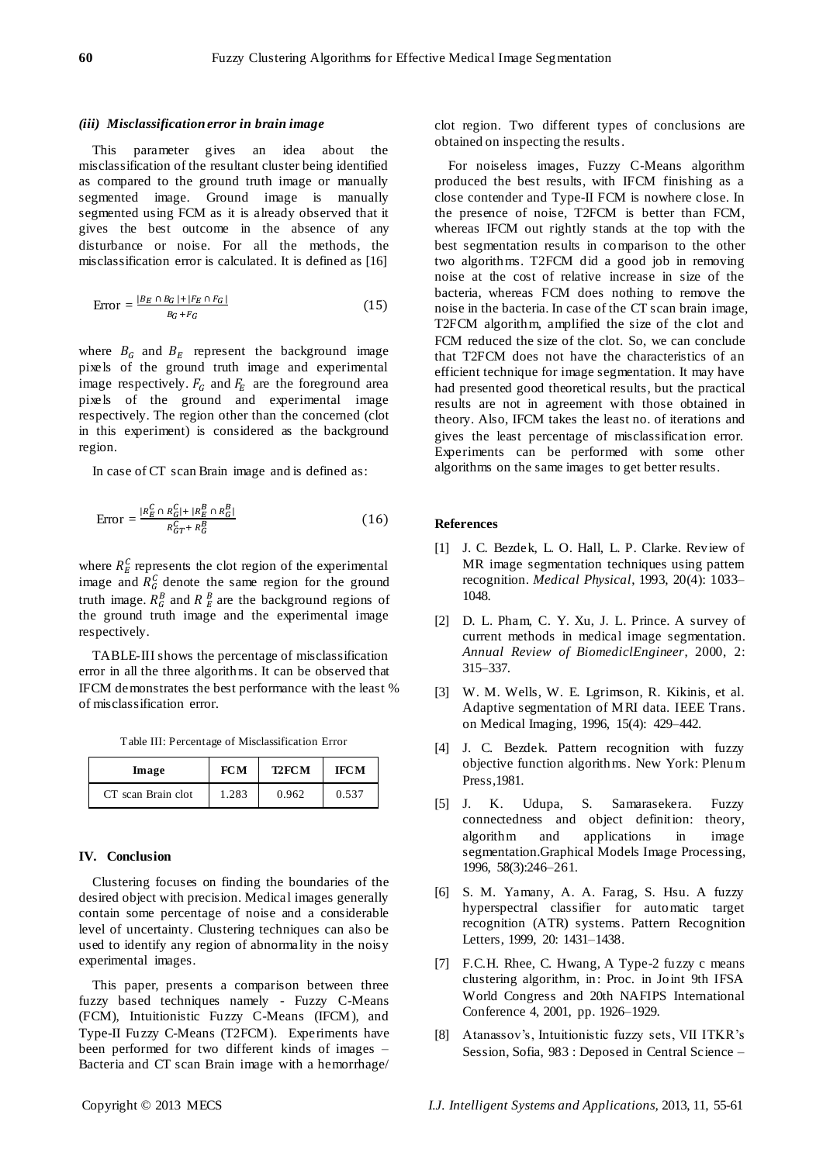#### *(iii) Misclassification error in brain image*

This parameter gives an idea about the misclassification of the resultant cluster being identified as compared to the ground truth image or manually segmented image. Ground image is manually segmented using FCM as it is already observed that it gives the best outcome in the absence of any disturbance or noise. For all the methods, the misclassification error is calculated. It is defined as [16]

$$
Error = \frac{|B_E \cap B_G| + |F_E \cap F_G|}{B_G + F_G} \tag{15}
$$

where  $B_G$  and  $B_E$  represent the background image pixels of the ground truth image and experimental image respectively.  $F_G$  and  $F_E$  are the foreground area pixels of the ground and experimental image respectively. The region other than the concerned (clot in this experiment) is considered as the background region.

In case of CT scan Brain image and is defined as:

$$
Error = \frac{|R_E^C \cap R_G^C| + |R_E^B \cap R_G^B|}{R_{GT}^C + R_G^B}
$$
 (16)

where  $R_E^C$  represents the clot region of the experimental image and  $R_G^C$  denote the same region for the ground truth image.  $R_G^B$  and  $R_E^B$  are the background regions of the ground truth image and the experimental image respectively.

TABLE-III shows the percentage of misclassification error in all the three algorithms. It can be observed that IFCM demonstrates the best performance with the least % of misclassification error.

|  |  | Table III: Percentage of Misclassification Error |  |
|--|--|--------------------------------------------------|--|
|--|--|--------------------------------------------------|--|

| Image              | <b>FCM</b> | <b>T2FCM</b> | <b>IFCM</b> |
|--------------------|------------|--------------|-------------|
| CT scan Brain clot | 1.283      | 0.962        | 0.537       |

#### **IV. Conclusion**

Clustering focuses on finding the boundaries of the desired object with precision. Medical images generally contain some percentage of noise and a considerable level of uncertainty. Clustering techniques can also be used to identify any region of abnormality in the noisy experimental images.

This paper, presents a comparison between three fuzzy based techniques namely - Fuzzy C-Means (FCM), Intuitionistic Fuzzy C-Means (IFCM), and Type-II Fuzzy C-Means (T2FCM). Experiments have been performed for two different kinds of images – Bacteria and CT scan Brain image with a hemorrhage/

For noiseless images, Fuzzy C-Means algorithm produced the best results, with IFCM finishing as a close contender and Type-II FCM is nowhere close. In the presence of noise, T2FCM is better than FCM, whereas IFCM out rightly stands at the top with the best segmentation results in comparison to the other two algorithms. T2FCM did a good job in removing noise at the cost of relative increase in size of the bacteria, whereas FCM does nothing to remove the noise in the bacteria. In case of the CT scan brain image, T2FCM algorithm, amplified the size of the clot and FCM reduced the size of the clot. So, we can conclude that T2FCM does not have the characteristics of an efficient technique for image segmentation. It may have had presented good theoretical results, but the practical results are not in agreement with those obtained in theory. Also, IFCM takes the least no. of iterations and gives the least percentage of misclassification error. Experiments can be performed with some other algorithms on the same images to get better results.

## **References**

- [1] J. C. Bezdek, L. O. Hall, L. P. Clarke. Review of MR image segmentation techniques using pattem recognition. *Medical Physical*, 1993, 20(4): 1033– 1048.
- [2] D. L. Pham, C. Y. Xu, J. L. Prince. A survey of current methods in medical image segmentation. *Annual Review of BiomediclEngineer*, 2000, 2: 315–337.
- [3] W. M. Wells, W. E. Lgrimson, R. Kikinis, et al. Adaptive segmentation of MRI data. IEEE Trans. on Medical Imaging, 1996, 15(4): 429–442.
- [4] J. C. Bezdek. Pattern recognition with fuzzy objective function algorithms. New York: Plenum Press,1981.
- [5] J. K. Udupa, S. Samarasekera. Fuzzy connectedness and object definition: theory, algorithm and applications in image segmentation.Graphical Models Image Processing, 1996, 58(3):246–261.
- [6] S. M. Yamany, A. A. Farag, S. Hsu. A fuzzy hyperspectral classifier for automatic target recognition (ATR) systems. Pattern Recognition Letters, 1999, 20: 1431–1438.
- [7] F.C.H. Rhee, C. Hwang, A Type-2 fuzzy c means clustering algorithm, in: Proc. in Joint 9th IFSA World Congress and 20th NAFIPS International Conference 4, 2001, pp. 1926–1929.
- [8] Atanassov's, Intuitionistic fuzzy sets, VII ITKR's Session, Sofia, 983 : Deposed in Central Science –